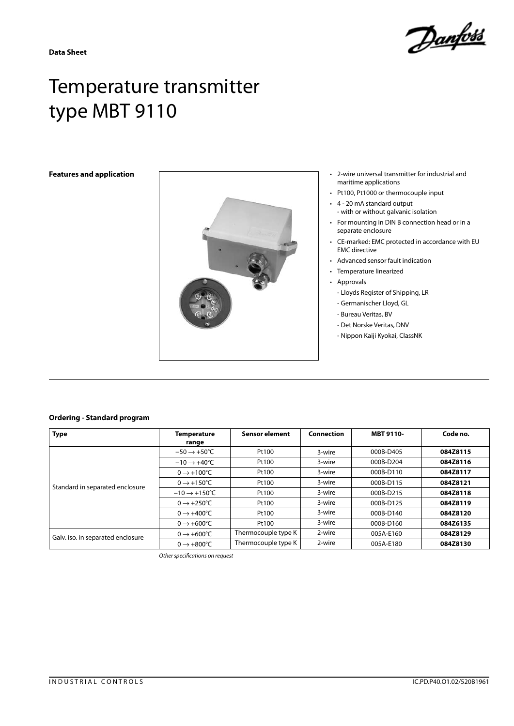

# Temperature transmitter type MBT 9110



- maritime applications
- Pt100, Pt1000 or thermocouple input
- 4 20 mA standard output - with or without galvanic isolation
- For mounting in DIN B connection head or in a separate enclosure
- CE-marked: EMC protected in accordance with EU EMC directive
- Advanced sensor fault indication
- Temperature linearized
- Approvals
	- Lloyds Register of Shipping, LR
	- Germanischer Lloyd, GL
	- Bureau Veritas, BV
	- Det Norske Veritas, DNV
	- Nippon Kaiji Kyokai, ClassNK

### **Ordering - Standard program**

| <b>Type</b>                       | <b>Temperature</b>               | <b>Sensor element</b> | Connection | <b>MBT 9110-</b> | Code no. |
|-----------------------------------|----------------------------------|-----------------------|------------|------------------|----------|
|                                   | range                            |                       |            |                  |          |
| Standard in separated enclosure   | $-50 \rightarrow +50^{\circ}$ C  | Pt100                 | 3-wire     | 000B-D405        | 084Z8115 |
|                                   | $-10 \rightarrow +40^{\circ}$ C  | Pt100                 | 3-wire     | 000B-D204        | 084Z8116 |
|                                   | $0 \rightarrow +100^{\circ}C$    | Pt100                 | 3-wire     | 000B-D110        | 084Z8117 |
|                                   | $0 \rightarrow +150^{\circ}$ C   | Pt100                 | 3-wire     | 000B-D115        | 084Z8121 |
|                                   | $-10 \rightarrow +150^{\circ}$ C | Pt100                 | 3-wire     | 000B-D215        | 084Z8118 |
|                                   | $0 \rightarrow +250^{\circ}$ C   | Pt100                 | 3-wire     | 000B-D125        | 084Z8119 |
|                                   | $0 \rightarrow +400^{\circ}C$    | Pt100                 | 3-wire     | 000B-D140        | 084Z8120 |
|                                   | $0 \rightarrow +600^{\circ}C$    | Pt100                 | 3-wire     | 000B-D160        | 084Z6135 |
| Galv. iso. in separated enclosure | $0 \rightarrow +600^{\circ}C$    | Thermocouple type K   | 2-wire     | 005A-E160        | 084Z8129 |
|                                   | $0 \rightarrow +800^{\circ}$ C   | Thermocouple type K   | 2-wire     | 005A-E180        | 084Z8130 |

*Other specifications on request*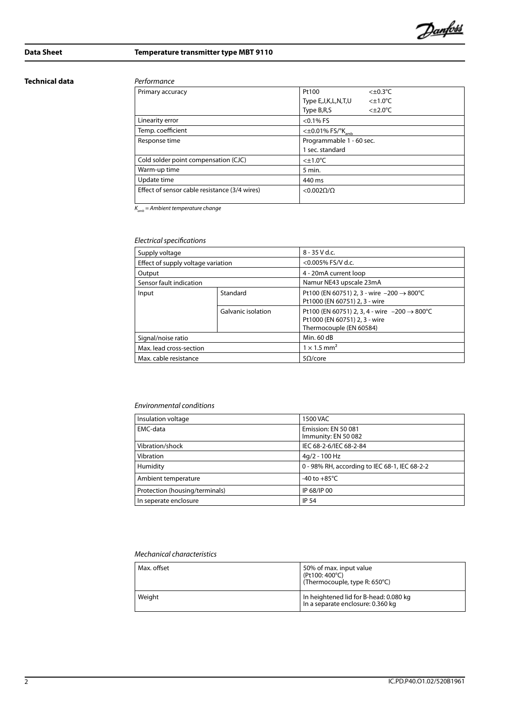

# **Data Sheet Temperature transmitter type MBT 9110**

### **Technical data** *Performance*

| Primary accuracy                              | Pt100<br>$< \pm 0.3$ °C                          |
|-----------------------------------------------|--------------------------------------------------|
|                                               | $<$ ±1.0 $\degree$ C<br>Type E, J, K, L, N, T, U |
|                                               | Type B,R,S<br>$<\pm 2.0^{\circ}$ C               |
| Linearity error                               | $< 0.1\%$ FS                                     |
| Temp. coefficient                             | $<\pm 0.01\%$ FS/ $K_{amb}$                      |
| Response time                                 | Programmable 1 - 60 sec.                         |
|                                               | 1 sec. standard                                  |
| Cold solder point compensation (CJC)          | $<\pm 1.0^{\circ}$ C                             |
| Warm-up time                                  | 5 min.                                           |
| Update time                                   | 440 ms                                           |
| Effect of sensor cable resistance (3/4 wires) | $<$ 0.002 $\Omega/\Omega$                        |
|                                               |                                                  |

*Kamb = Ambient temperature change*

# *Electrical specifications*

| Supply voltage                     |                    | $8 - 35$ V d.c.                                                                                                              |  |
|------------------------------------|--------------------|------------------------------------------------------------------------------------------------------------------------------|--|
| Effect of supply voltage variation |                    | $<$ 0.005% FS/V d.c.                                                                                                         |  |
| Output                             |                    | 4 - 20mA current loop                                                                                                        |  |
| Sensor fault indication            |                    | Namur NE43 upscale 23mA                                                                                                      |  |
| Input                              | Standard           | Pt100 (EN 60751) 2, 3 - wire $-200 \rightarrow 800^{\circ}$ C<br>Pt1000 (EN 60751) 2, 3 - wire                               |  |
|                                    | Galvanic isolation | Pt100 (EN 60751) 2, 3, 4 - wire $-200 \rightarrow 800^{\circ}$ C<br>Pt1000 (EN 60751) 2, 3 - wire<br>Thermocouple (EN 60584) |  |
| Signal/noise ratio                 |                    | Min. 60 dB                                                                                                                   |  |
| Max. lead cross-section            |                    | $1 \times 1.5$ mm <sup>2</sup>                                                                                               |  |
| Max. cable resistance              |                    | $5\Omega$ /core                                                                                                              |  |

### *Environmental conditions*

| Insulation voltage             | 1500 VAC                                      |
|--------------------------------|-----------------------------------------------|
| EMC-data                       | Emission: EN 50 081<br>Immunity: EN 50 082    |
| Vibration/shock                | IEC 68-2-6/IEC 68-2-84                        |
| Vibration                      | $4q/2 - 100 Hz$                               |
| Humidity                       | 0 - 98% RH, according to IEC 68-1, IEC 68-2-2 |
| Ambient temperature            | -40 to $+85^{\circ}$ C                        |
| Protection (housing/terminals) | IP 68/IP 00                                   |
| In seperate enclosure          | <b>IP 54</b>                                  |

### *Mechanical characteristics*

| Max. offset | 50% of max. input value<br>(Pt100: 400°C)<br>(Thermocouple, type R: 650°C)  |
|-------------|-----------------------------------------------------------------------------|
| Weiaht      | In heightened lid for B-head: 0.080 kg<br>In a separate enclosure: 0.360 kg |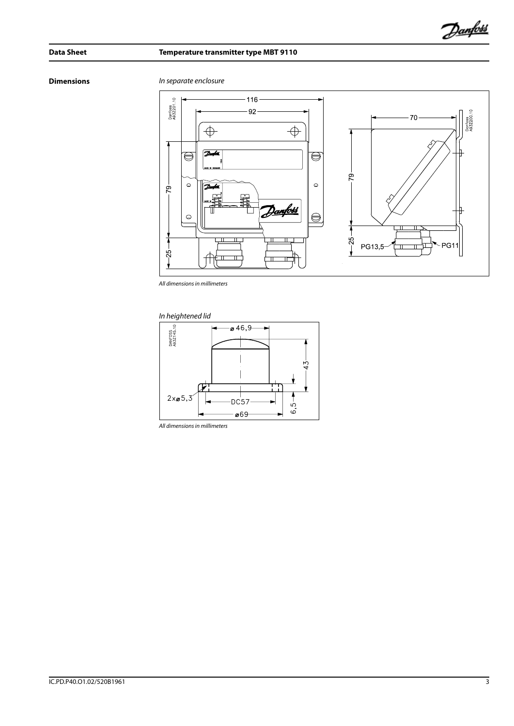# **Data Sheet Temperature transmitter type MBT 9110**

**Dimensions** *In separate enclosure*



*All dimensions in millimeters*





*All dimensions in millimeters*